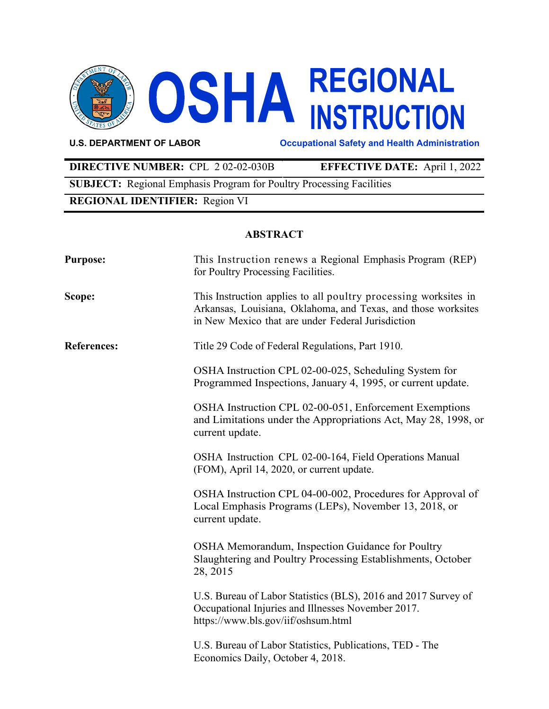

**U.S. DEPARTMENT OF LABOR Occupational Safety and Health Administration**

# **DIRECTIVE NUMBER:** CPL 2 02-02-030B **EFFECTIVE DATE:** April 1, 2022

**SUBJECT:** Regional Emphasis Program for Poultry Processing Facilities

# **REGIONAL IDENTIFIER:** Region VI

### **ABSTRACT**

| <b>Purpose:</b>    | This Instruction renews a Regional Emphasis Program (REP)<br>for Poultry Processing Facilities.                                                                                       |
|--------------------|---------------------------------------------------------------------------------------------------------------------------------------------------------------------------------------|
| Scope:             | This Instruction applies to all poultry processing worksites in<br>Arkansas, Louisiana, Oklahoma, and Texas, and those worksites<br>in New Mexico that are under Federal Jurisdiction |
| <b>References:</b> | Title 29 Code of Federal Regulations, Part 1910.                                                                                                                                      |
|                    | OSHA Instruction CPL 02-00-025, Scheduling System for<br>Programmed Inspections, January 4, 1995, or current update.                                                                  |
|                    | OSHA Instruction CPL 02-00-051, Enforcement Exemptions<br>and Limitations under the Appropriations Act, May 28, 1998, or<br>current update.                                           |
|                    | OSHA Instruction CPL 02-00-164, Field Operations Manual<br>(FOM), April 14, 2020, or current update.                                                                                  |
|                    | OSHA Instruction CPL 04-00-002, Procedures for Approval of<br>Local Emphasis Programs (LEPs), November 13, 2018, or<br>current update.                                                |
|                    | OSHA Memorandum, Inspection Guidance for Poultry<br>Slaughtering and Poultry Processing Establishments, October<br>28, 2015                                                           |
|                    | U.S. Bureau of Labor Statistics (BLS), 2016 and 2017 Survey of<br>Occupational Injuries and Illnesses November 2017.<br>https://www.bls.gov/iif/oshsum.html                           |
|                    | U.S. Bureau of Labor Statistics, Publications, TED - The<br>Economics Daily, October 4, 2018.                                                                                         |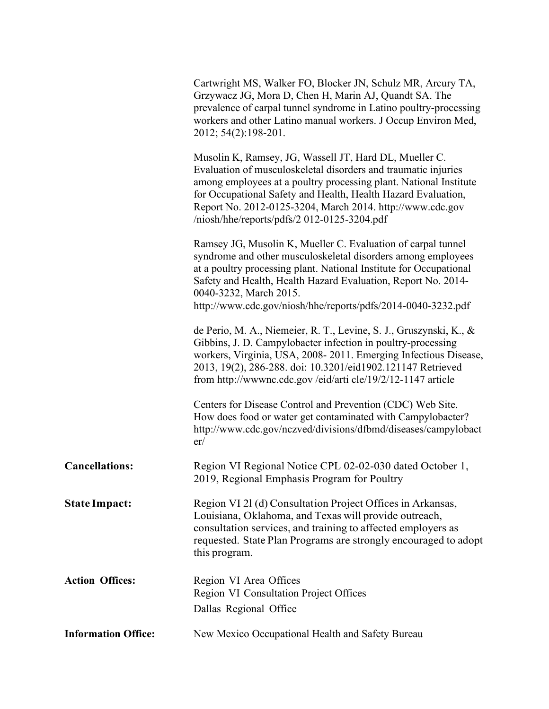|                            | Cartwright MS, Walker FO, Blocker JN, Schulz MR, Arcury TA,<br>Grzywacz JG, Mora D, Chen H, Marin AJ, Quandt SA. The<br>prevalence of carpal tunnel syndrome in Latino poultry-processing<br>workers and other Latino manual workers. J Occup Environ Med,<br>2012; 54(2):198-201.                                                                                         |
|----------------------------|----------------------------------------------------------------------------------------------------------------------------------------------------------------------------------------------------------------------------------------------------------------------------------------------------------------------------------------------------------------------------|
|                            | Musolin K, Ramsey, JG, Wassell JT, Hard DL, Mueller C.<br>Evaluation of musculoskeletal disorders and traumatic injuries<br>among employees at a poultry processing plant. National Institute<br>for Occupational Safety and Health, Health Hazard Evaluation,<br>Report No. 2012-0125-3204, March 2014. http://www.cdc.gov<br>/niosh/hhe/reports/pdfs/2 012-0125-3204.pdf |
|                            | Ramsey JG, Musolin K, Mueller C. Evaluation of carpal tunnel<br>syndrome and other musculoskeletal disorders among employees<br>at a poultry processing plant. National Institute for Occupational<br>Safety and Health, Health Hazard Evaluation, Report No. 2014-<br>0040-3232, March 2015.                                                                              |
|                            | http://www.cdc.gov/niosh/hhe/reports/pdfs/2014-0040-3232.pdf                                                                                                                                                                                                                                                                                                               |
|                            | de Perio, M. A., Niemeier, R. T., Levine, S. J., Gruszynski, K., &<br>Gibbins, J. D. Campylobacter infection in poultry-processing<br>workers, Virginia, USA, 2008-2011. Emerging Infectious Disease,<br>2013, 19(2), 286-288. doi: 10.3201/eid1902.121147 Retrieved<br>from http://wwwnc.cdc.gov/eid/arti cle/19/2/12-1147 article                                        |
|                            | Centers for Disease Control and Prevention (CDC) Web Site.<br>How does food or water get contaminated with Campylobacter?<br>http://www.cdc.gov/nczved/divisions/dfbmd/diseases/campylobact<br>er/                                                                                                                                                                         |
| <b>Cancellations:</b>      | Region VI Regional Notice CPL 02-02-030 dated October 1,<br>2019, Regional Emphasis Program for Poultry                                                                                                                                                                                                                                                                    |
| <b>State Impact:</b>       | Region VI 21 (d) Consultation Project Offices in Arkansas,<br>Louisiana, Oklahoma, and Texas will provide outreach,<br>consultation services, and training to affected employers as<br>requested. State Plan Programs are strongly encouraged to adopt<br>this program.                                                                                                    |
| <b>Action Offices:</b>     | Region VI Area Offices                                                                                                                                                                                                                                                                                                                                                     |
|                            | Region VI Consultation Project Offices<br>Dallas Regional Office                                                                                                                                                                                                                                                                                                           |
| <b>Information Office:</b> | New Mexico Occupational Health and Safety Bureau                                                                                                                                                                                                                                                                                                                           |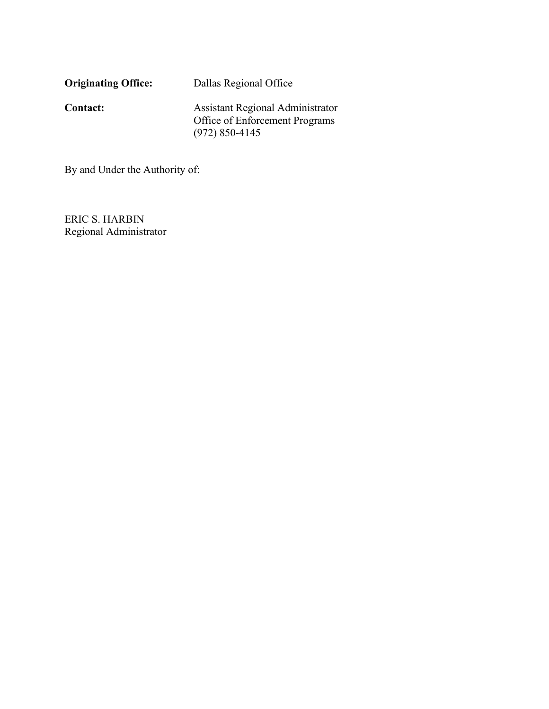| <b>Originating Office:</b> | Dallas Regional Office                                                                          |
|----------------------------|-------------------------------------------------------------------------------------------------|
| <b>Contact:</b>            | <b>Assistant Regional Administrator</b><br>Office of Enforcement Programs<br>$(972) 850 - 4145$ |

By and Under the Authority of:

ERIC S. HARBIN Regional Administrator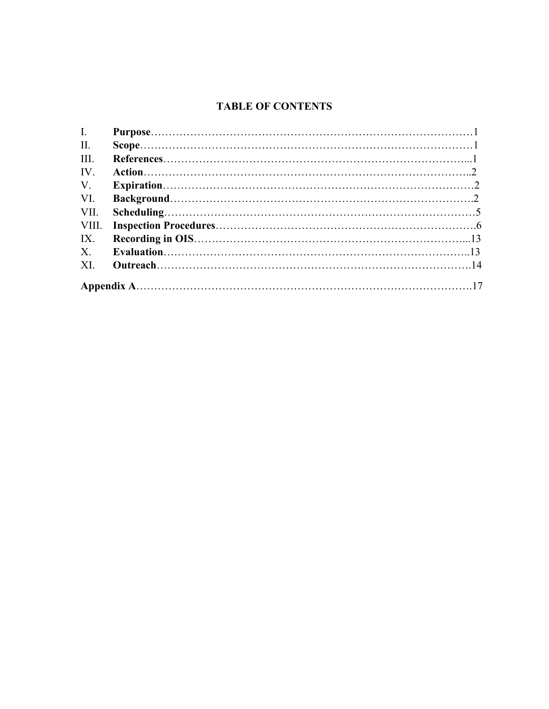# **TABLE OF CONTENTS**

| I.          |  |
|-------------|--|
| II.         |  |
| III.        |  |
| IV.         |  |
| $V_{\cdot}$ |  |
| VI.         |  |
| VII.        |  |
|             |  |
| IX.         |  |
| $X_{\cdot}$ |  |
| XI.         |  |
|             |  |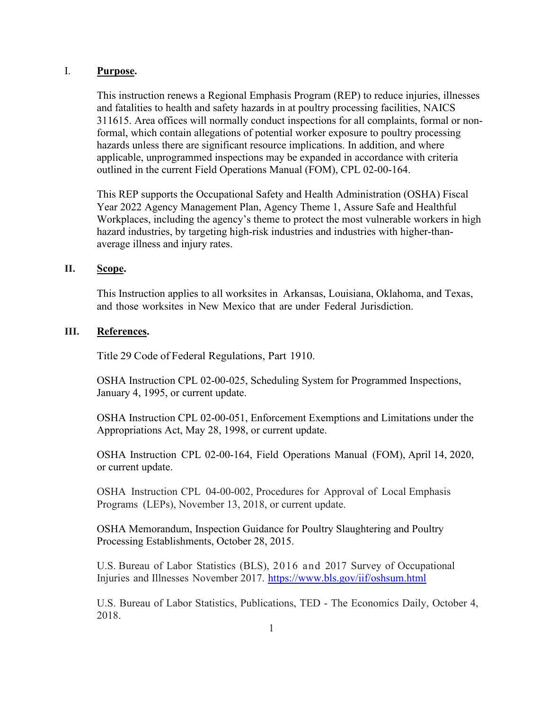### <span id="page-4-0"></span>I. **Purpose.**

This instruction renews a Regional Emphasis Program (REP) to reduce injuries, illnesses and fatalities to health and safety hazards in at poultry processing facilities, NAICS 311615. Area offices will normally conduct inspections for all complaints, formal or nonformal, which contain allegations of potential worker exposure to poultry processing hazards unless there are significant resource implications. In addition, and where applicable, unprogrammed inspections may be expanded in accordance with criteria outlined in the current Field Operations Manual (FOM), CPL 02-00-164.

This REP supports the Occupational Safety and Health Administration (OSHA) Fiscal Year 2022 Agency Management Plan, Agency Theme 1, Assure Safe and Healthful Workplaces, including the agency's theme to protect the most vulnerable workers in high hazard industries, by targeting high-risk industries and industries with higher-thanaverage illness and injury rates.

### **II. Scope.**

This Instruction applies to all worksites in Arkansas, Louisiana, Oklahoma, and Texas, and those worksites in New Mexico that are under Federal Jurisdiction.

### **III. References.**

Title 29 Code of Federal Regulations, Part 1910.

OSHA Instruction CPL 02-00-025, Scheduling System for Programmed Inspections, January 4, 1995, or current update.

OSHA Instruction CPL 02-00-051, Enforcement Exemptions and Limitations under the Appropriations Act, May 28, 1998, or current update.

OSHA Instruction CPL 02-00-164, Field Operations Manual (FOM), April 14, 2020, or current update.

OSHA Instruction CPL 04-00-002, Procedures for Approval of Local Emphasis Programs (LEPs), November 13, 2018, or current update.

OSHA Memorandum, Inspection Guidance for Poultry Slaughtering and Poultry Processing Establishments, October 28, 2015.

U.S. Bureau of Labor Statistics (BLS), 2016 and 2017 Survey of Occupational Injuries and Illnesses November 2017.<https://www.bls.gov/iif/oshsum.html>

U.S. Bureau of Labor Statistics, Publications, TED - The Economics Daily, October 4, 2018.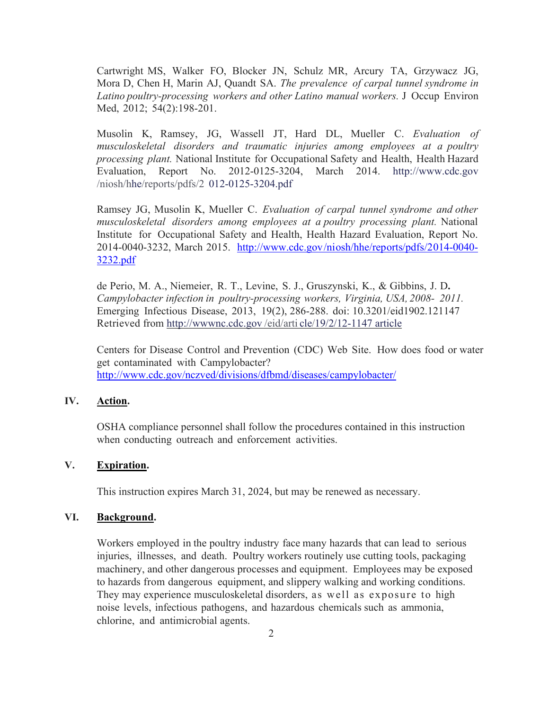<span id="page-5-0"></span>Cartwright MS, Walker FO, Blocker JN, Schulz MR, Arcury TA, Grzywacz JG, Mora D, Chen H, Marin AJ, Quandt SA. *The prevalence of carpal tunnel syndrome in Latino poultry-processing workers and other Latino manual workers.* J Occup Environ Med, 2012; 54(2):198-201.

Musolin K, Ramsey, JG, Wassell JT, Hard DL, Mueller C. *Evaluation of musculoskeletal disorders and traumatic injuries among employees at a poultry processing plant.* National Institute for Occupational Safety and Health, Health Hazard [Evaluation, Report No. 2012-0125-3204, March 2014.](http://www.cdc.gov/niosh/hhe/reports/pdfs/2 012-0125-3204.pdf) http://www.cdc.gov /niosh/hhe/reports/pdfs/2 012-0125-3204.pdf

Ramsey JG, Musolin K, Mueller C. *Evaluation of carpal tunnel syndrome and other musculoskeletal disorders among employees at a poultry processing plant.* National Institute for Occupational Safety and Health, Health Hazard Evaluation, Report No. [2014-0040-3232, March 2015. http://www.cdc.gov/niosh/hhe/reports/pdfs/2014-0040-](http://www.cdc.gov/niosh/hhe/reports/pdfs/2014-0040-3232.pdf) 3232.pdf

de Perio, M. A., Niemeier, R. T., Levine, S. J., Gruszynski, K., & Gibbins, J. D**.** *Campylobacter infection in poultry-processing workers, Virginia, USA, 2008- 2011.*  Emerging Infectious Disease, 2013, 19(2), 286-288. doi: 10.3201/eid1902.121147 Retrieved from [http://wwwnc.cdc.gov /eid/arti](http://wwwnc.cdc.gov/eid/arti cle/19/2/12-1147 article) cle/19/2/12-1147 article

Centers for Disease Control and Prevention (CDC) Web Site. How does food or water get contaminated with Campylobacter? <http://www.cdc.gov/nczved/divisions/dfbmd/diseases/campylobacter/>

## **IV. Action.**

OSHA compliance personnel shall follow the procedures contained in this instruction when conducting outreach and enforcement activities.

# **V. Expiration.**

This instruction expires March 31, 2024, but may be renewed as necessary.

# **VI. Background.**

Workers employed in the poultry industry face many hazards that can lead to serious injuries, illnesses, and death. Poultry workers routinely use cutting tools, packaging machinery, and other dangerous processes and equipment. Employees may be exposed to hazards from dangerous equipment, and slippery walking and working conditions. They may experience musculoskeletal disorders, as well as exposure to high noise levels, infectious pathogens, and hazardous chemicals such as ammonia, chlorine, and antimicrobial agents.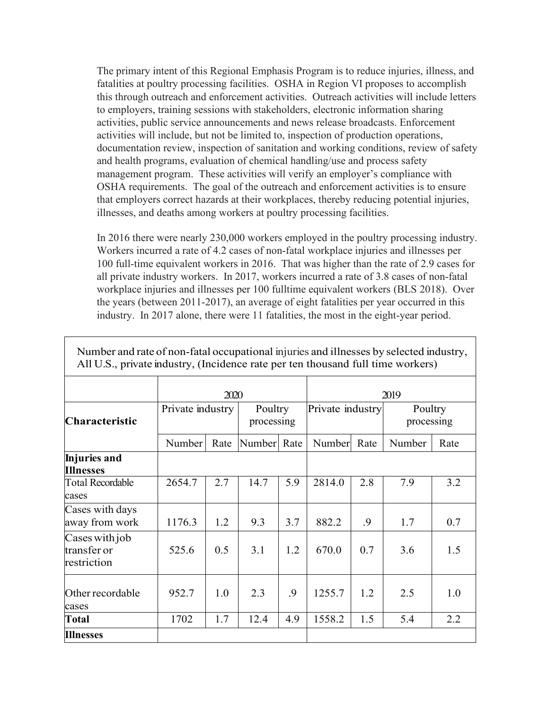The primary intent of this Regional Emphasis Program is to reduce injuries, illness, and fatalities at poultry processing facilities. OSHA in Region VI proposes to accomplish this through outreach and enforcement activities. Outreach activities will include letters to employers, training sessions with stakeholders, electronic information sharing activities, public service announcements and news release broadcasts. Enforcement activities will include, but not be limited to, inspection of production operations, documentation review, inspection of sanitation and working conditions, review of safety and health programs, evaluation of chemical handling/use and process safety management program. These activities will verify an employer's compliance with OSHA requirements. The goal of the outreach and enforcement activities is to ensure that employers correct hazards at their workplaces, thereby reducing potential injuries, illnesses, and deaths among workers at poultry processing facilities.

In 2016 there were nearly 230,000 workers employed in the poultry processing industry. Workers incurred a rate of 4.2 cases of non-fatal workplace injuries and illnesses per 100 full-time equivalent workers in 2016. That was higher than the rate of 2.9 cases for all private industry workers. In 2017, workers incurred a rate of 3.8 cases of non-fatal workplace injuries and illnesses per 100 fulltime equivalent workers (BLS 2018). Over the years (between 2011-2017), an average of eight fatalities per year occurred in this industry. In 2017 alone, there were 11 fatalities, the most in the eight-year period.

|                                              |                  | 2020 |                       |     |                  |      | 2019                  |      |
|----------------------------------------------|------------------|------|-----------------------|-----|------------------|------|-----------------------|------|
| Characteristic                               | Private industry |      | Poultry<br>processing |     | Private industry |      | Poultry<br>processing |      |
|                                              | Number           | Rate | Number Rate           |     | Number           | Rate | Number                | Rate |
| Injuries and<br><b>Illnesses</b>             |                  |      |                       |     |                  |      |                       |      |
| <b>Total Recordable</b><br>cases             | 2654.7           | 2.7  | 14.7                  | 5.9 | 2814.0           | 2.8  | 7.9                   | 3.2  |
| Cases with days<br>away from work            | 1176.3           | 1.2  | 9.3                   | 3.7 | 882.2            | .9   | 1.7                   | 0.7  |
| Cases with job<br>transfer or<br>restriction | 525.6            | 0.5  | 3.1                   | 1.2 | 670.0            | 0.7  | 3.6                   | 1.5  |
| Other recordable<br>cases                    | 952.7            | 1.0  | 2.3                   | .9  | 1255.7           | 1.2  | 2.5                   | 1.0  |
| <b>Total</b>                                 | 1702             | 1.7  | 12.4                  | 4.9 | 1558.2           | 1.5  | 5.4                   | 2.2  |
| <b>Illnesses</b>                             |                  |      |                       |     |                  |      |                       |      |

Number and rate of non-fatal occupational injuries and illnesses by selected industry, All U.S., private industry, (Incidence rate per ten thousand full time workers)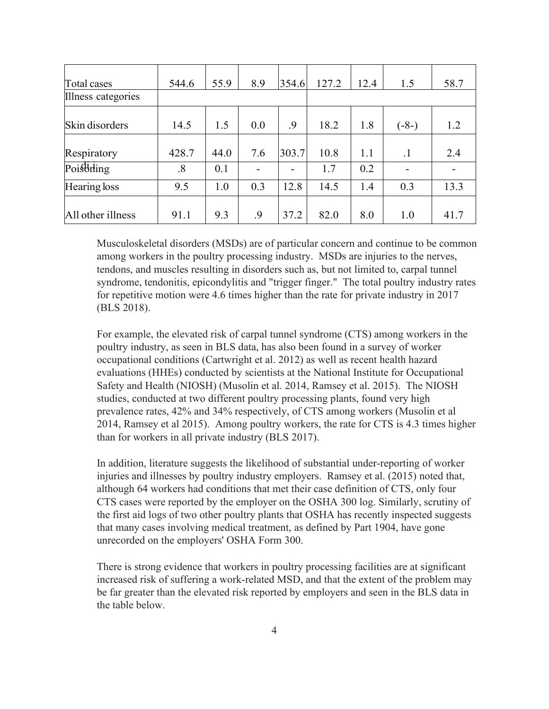| Total cases        | 544.6 | 55.9 | 8.9 | 354.6 | 127.2 | 12.4 | 1.5            | 58.7 |
|--------------------|-------|------|-----|-------|-------|------|----------------|------|
| Illness categories |       |      |     |       |       |      |                |      |
| Skin disorders     | 14.5  | 1.5  | 0.0 | .9    | 18.2  | 1.8  | $(-8-)$        | 1.2  |
| Respiratory        | 428.7 | 44.0 | 7.6 | 303.7 | 10.8  | 1.1  | $\cdot$ 1      | 2.4  |
| Poisthing          | .8    | 0.1  |     | ۰     | 1.7   | 0.2  | $\blacksquare$ |      |
| Hearing loss       | 9.5   | 1.0  | 0.3 | 12.8  | 14.5  | 1.4  | 0.3            | 13.3 |
| All other illness  | 91.1  | 9.3  | .9  | 37.2  | 82.0  | 8.0  | 1.0            | 41.7 |

Musculoskeletal disorders (MSDs) are of particular concern and continue to be common among workers in the poultry processing industry. MSDs are injuries to the nerves, tendons, and muscles resulting in disorders such as, but not limited to, carpal tunnel syndrome, tendonitis, epicondylitis and "trigger finger." The total poultry industry rates for repetitive motion were 4.6 times higher than the rate for private industry in 2017 (BLS 2018).

For example, the elevated risk of carpal tunnel syndrome (CTS) among workers in the poultry industry, as seen in BLS data, has also been found in a survey of worker occupational conditions (Cartwright et al. 2012) as well as recent health hazard evaluations (HHEs) conducted by scientists at the National Institute for Occupational Safety and Health (NIOSH) (Musolin et al. 2014, Ramsey et al. 2015). The NIOSH studies, conducted at two different poultry processing plants, found very high prevalence rates, 42% and 34% respectively, of CTS among workers (Musolin et al 2014, Ramsey et al 2015). Among poultry workers, the rate for CTS is 4.3 times higher than for workers in all private industry (BLS 2017).

In addition, literature suggests the likelihood of substantial under-reporting of worker injuries and illnesses by poultry industry employers. Ramsey et al. (2015) noted that, although 64 workers had conditions that met their case definition of CTS, only four CTS cases were reported by the employer on the OSHA 300 log. Similarly, scrutiny of the first aid logs of two other poultry plants that OSHA has recently inspected suggests that many cases involving medical treatment, as defined by Part 1904, have gone unrecorded on the employers' OSHA Form 300.

There is strong evidence that workers in poultry processing facilities are at significant increased risk of suffering a work-related MSD, and that the extent of the problem may be far greater than the elevated risk reported by employers and seen in the BLS data in the table below.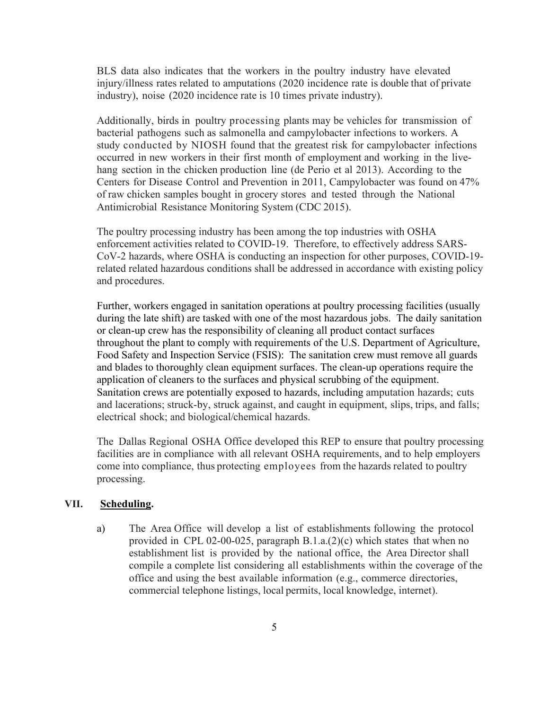<span id="page-8-0"></span>BLS data also indicates that the workers in the poultry industry have elevated injury/illness rates related to amputations (2020 incidence rate is double that of private industry), noise (2020 incidence rate is 10 times private industry).

Additionally, birds in poultry processing plants may be vehicles for transmission of bacterial pathogens such as salmonella and campylobacter infections to workers. A study conducted by NIOSH found that the greatest risk for campylobacter infections occurred in new workers in their first month of employment and working in the livehang section in the chicken production line (de Perio et al 2013). According to the Centers for Disease Control and Prevention in 2011, Campylobacter was found on 47% of raw chicken samples bought in grocery stores and tested through the National Antimicrobial Resistance Monitoring System (CDC 2015).

The poultry processing industry has been among the top industries with OSHA enforcement activities related to COVID-19. Therefore, to effectively address SARS-CoV-2 hazards, where OSHA is conducting an inspection for other purposes, COVID-19 related related hazardous conditions shall be addressed in accordance with existing policy and procedures.

Further, workers engaged in sanitation operations at poultry processing facilities (usually during the late shift) are tasked with one of the most hazardous jobs. The daily sanitation or clean-up crew has the responsibility of cleaning all product contact surfaces throughout the plant to comply with requirements of the U.S. Department of Agriculture, Food Safety and Inspection Service (FSIS): The sanitation crew must remove all guards and blades to thoroughly clean equipment surfaces. The clean-up operations require the application of cleaners to the surfaces and physical scrubbing of the equipment. Sanitation crews are potentially exposed to hazards, including amputation hazards; cuts and lacerations; struck-by, struck against, and caught in equipment, slips, trips, and falls; electrical shock; and biological/chemical hazards.

The Dallas Regional OSHA Office developed this REP to ensure that poultry processing facilities are in compliance with all relevant OSHA requirements, and to help employers come into compliance, thus protecting employees from the hazards related to poultry processing.

#### **VII. Scheduling.**

a) The Area Office will develop a list of establishments following the protocol provided in CPL 02-00-025, paragraph B.1.a.(2)(c) which states that when no establishment list is provided by the national office, the Area Director shall compile a complete list considering all establishments within the coverage of the office and using the best available information (e.g., commerce directories, commercial telephone listings, local permits, local knowledge, internet).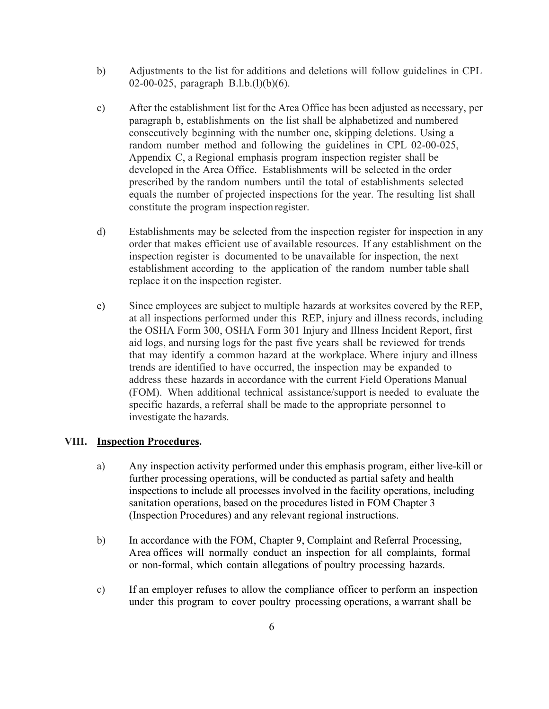- <span id="page-9-0"></span>b) Adjustments to the list for additions and deletions will follow guidelines in CPL 02-00-025, paragraph B.l.b.(l)(b)(6).
- c) After the establishment list for the Area Office has been adjusted as necessary, per paragraph b, establishments on the list shall be alphabetized and numbered consecutively beginning with the number one, skipping deletions. Using a random number method and following the guidelines in CPL 02-00-025, Appendix C, a Regional emphasis program inspection register shall be developed in the Area Office. Establishments will be selected in the order prescribed by the random numbers until the total of establishments selected equals the number of projected inspections for the year. The resulting list shall constitute the program inspection register.
- d) Establishments may be selected from the inspection register for inspection in any order that makes efficient use of available resources. If any establishment on the inspection register is documented to be unavailable for inspection, the next establishment according to the application of the random number table shall replace it on the inspection register.
- e) Since employees are subject to multiple hazards at worksites covered by the REP, at all inspections performed under this REP, injury and illness records, including the OSHA Form 300, OSHA Form 301 Injury and Illness Incident Report, first aid logs, and nursing logs for the past five years shall be reviewed for trends that may identify a common hazard at the workplace. Where injury and illness trends are identified to have occurred, the inspection may be expanded to address these hazards in accordance with the current Field Operations Manual (FOM). When additional technical assistance/support is needed to evaluate the specific hazards, a referral shall be made to the appropriate personnel to investigate the hazards.

#### **VIII. Inspection Procedures.**

- a) Any inspection activity performed under this emphasis program, either live-kill or further processing operations, will be conducted as partial safety and health inspections to include all processes involved in the facility operations, including sanitation operations, based on the procedures listed in FOM Chapter 3 (Inspection Procedures) and any relevant regional instructions.
- b) In accordance with the FOM, Chapter 9, Complaint and Referral Processing, Area offices will normally conduct an inspection for all complaints, formal or non-formal, which contain allegations of poultry processing hazards.
- c) If an employer refuses to allow the compliance officer to perform an inspection under this program to cover poultry processing operations, a warrant shall be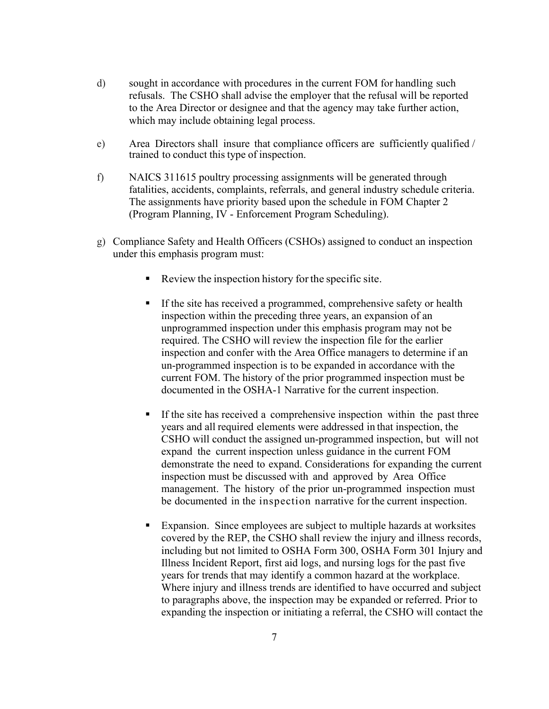- d) sought in accordance with procedures in the current FOM for handling such refusals. The CSHO shall advise the employer that the refusal will be reported to the Area Director or designee and that the agency may take further action, which may include obtaining legal process.
- e) Area Directors shall insure that compliance officers are sufficiently qualified / trained to conduct this type of inspection.
- f) NAICS 311615 poultry processing assignments will be generated through fatalities, accidents, complaints, referrals, and general industry schedule criteria. The assignments have priority based upon the schedule in FOM Chapter 2 (Program Planning, IV - Enforcement Program Scheduling).
- g) Compliance Safety and Health Officers (CSHOs) assigned to conduct an inspection under this emphasis program must:
	- Review the inspection history forthe specific site.
	- If the site has received a programmed, comprehensive safety or health inspection within the preceding three years, an expansion of an unprogrammed inspection under this emphasis program may not be required. The CSHO will review the inspection file for the earlier inspection and confer with the Area Office managers to determine if an un-programmed inspection is to be expanded in accordance with the current FOM. The history of the prior programmed inspection must be documented in the OSHA-1 Narrative for the current inspection.
	- If the site has received a comprehensive inspection within the past three years and all required elements were addressed in that inspection, the CSHO will conduct the assigned un-programmed inspection, but will not expand the current inspection unless guidance in the current FOM demonstrate the need to expand. Considerations for expanding the current inspection must be discussed with and approved by Area Office management. The history of the prior un-programmed inspection must be documented in the inspection narrative for the current inspection.
	- Expansion. Since employees are subject to multiple hazards at worksites covered by the REP, the CSHO shall review the injury and illness records, including but not limited to OSHA Form 300, OSHA Form 301 Injury and Illness Incident Report, first aid logs, and nursing logs for the past five years for trends that may identify a common hazard at the workplace. Where injury and illness trends are identified to have occurred and subject to paragraphs above, the inspection may be expanded or referred. Prior to expanding the inspection or initiating a referral, the CSHO will contact the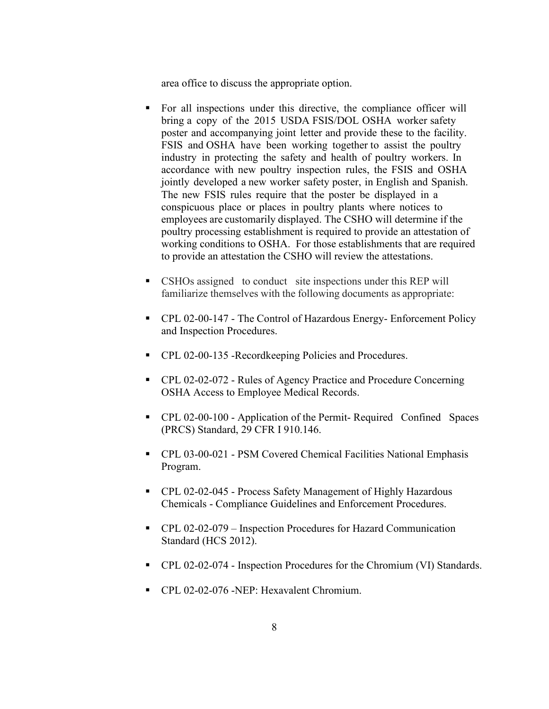area office to discuss the appropriate option.

- For all inspections under this directive, the compliance officer will bring a copy of the 2015 USDA FSIS/DOL OSHA worker safety poster and accompanying joint letter and provide these to the facility. FSIS and OSHA have been working together to assist the poultry industry in protecting the safety and health of poultry workers. In accordance with new poultry inspection rules, the FSIS and OSHA jointly developed a new worker safety poster, in English and Spanish. The new FSIS rules require that the poster be displayed in a conspicuous place or places in poultry plants where notices to employees are customarily displayed. The CSHO will determine if the poultry processing establishment is required to provide an attestation of working conditions to OSHA. For those establishments that are required to provide an attestation the CSHO will review the attestations.
- **CSHOs assigned** to conduct site inspections under this REP will familiarize themselves with the following documents as appropriate:
- CPL 02-00-147 The Control of Hazardous Energy- Enforcement Policy and Inspection Procedures.
- CPL 02-00-135 -Recordkeeping Policies and Procedures.
- CPL 02-02-072 Rules of Agency Practice and Procedure Concerning OSHA Access to Employee Medical Records.
- CPL 02-00-100 Application of the Permit- Required Confined Spaces (PRCS) Standard, 29 CFR I 910.146.
- CPL 03-00-021 PSM Covered Chemical Facilities National Emphasis Program.
- CPL 02-02-045 Process Safety Management of Highly Hazardous Chemicals - Compliance Guidelines and Enforcement Procedures.
- CPL 02-02-079 Inspection Procedures for Hazard Communication Standard (HCS 2012).
- CPL 02-02-074 Inspection Procedures for the Chromium (VI) Standards.
- CPL 02-02-076 -NEP: Hexavalent Chromium.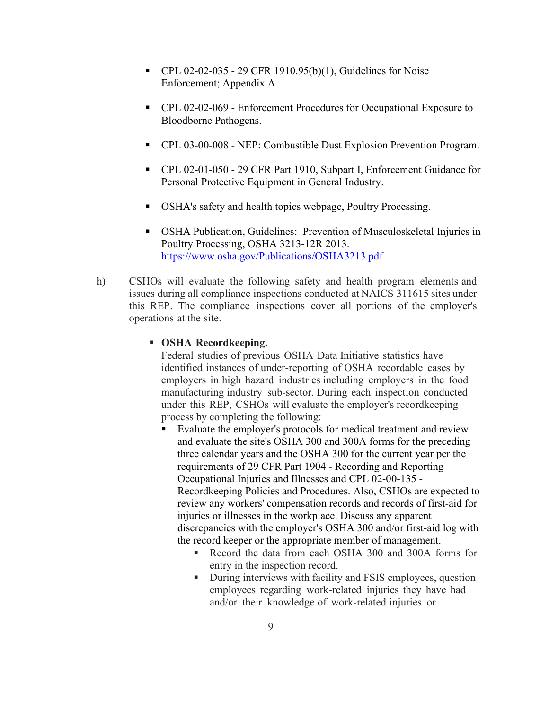- $\blacksquare$  CPL 02-02-035 29 CFR 1910.95(b)(1), Guidelines for Noise Enforcement; Appendix A
- CPL 02-02-069 Enforcement Procedures for Occupational Exposure to Bloodborne Pathogens.
- CPL 03-00-008 NEP: Combustible Dust Explosion Prevention Program.
- CPL 02-01-050 29 CFR Part 1910, Subpart I, Enforcement Guidance for Personal Protective Equipment in General Industry.
- OSHA's safety and health topics webpage, Poultry Processing.
- OSHA Publication, Guidelines: Prevention of Musculoskeletal Injuries in Poultry Processing, OSHA 3213-12R 2013. <https://www.osha.gov/Publications/OSHA3213.pdf>
- h) CSHOs will evaluate the following safety and health program elements and issues during all compliance inspections conducted at NAICS 311615 sites under this REP. The compliance inspections cover all portions of the employer's operations at the site.

#### **OSHA Recordkeeping.**

Federal studies of previous OSHA Data Initiative statistics have identified instances of under-reporting of OSHA recordable cases by employers in high hazard industries including employers in the food manufacturing industry sub-sector. During each inspection conducted under this REP, CSHOs will evaluate the employer's recordkeeping process by completing the following:

- Evaluate the employer's protocols for medical treatment and review and evaluate the site's OSHA 300 and 300A forms for the preceding three calendar years and the OSHA 300 for the current year per the requirements of 29 CFR Part 1904 - Recording and Reporting Occupational Injuries and Illnesses and CPL 02-00-135 - Recordkeeping Policies and Procedures. Also, CSHOs are expected to review any workers' compensation records and records of first-aid for injuries or illnesses in the workplace. Discuss any apparent discrepancies with the employer's OSHA 300 and/or first-aid log with the record keeper or the appropriate member of management.
	- Record the data from each OSHA 300 and 300A forms for entry in the inspection record.
	- **During interviews with facility and FSIS employees, question** employees regarding work-related injuries they have had and/or their knowledge of work-related injuries or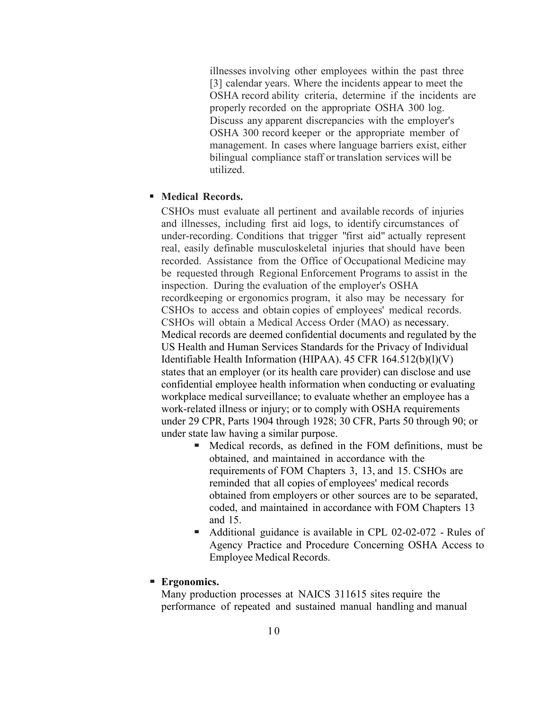illnesses involving other employees within the past three [3] calendar years. Where the incidents appear to meet the OSHA record ability criteria, determine if the incidents are properly recorded on the appropriate OSHA 300 log. Discuss any apparent discrepancies with the employer's OSHA 300 record keeper or the appropriate member of management. In cases where language barriers exist, either bilingual compliance staff or translation services will be utilized.

### **Medical Records.**

CSHOs must evaluate all pertinent and available records of injuries and illnesses, including first aid logs, to identify circumstances of under-recording. Conditions that trigger "first aid" actually represent real, easily definable musculoskeletal injuries that should have been recorded. Assistance from the Office of Occupational Medicine may be requested through Regional Enforcement Programs to assist in the inspection. During the evaluation of the employer's OSHA recordkeeping or ergonomics program, it also may be necessary for CSHOs to access and obtain copies of employees' medical records. CSHOs will obtain a Medical Access Order (MAO) as necessary. Medical records are deemed confidential documents and regulated by the US Health and Human Services Standards for the Privacy of Individual Identifiable Health Information (HIPAA). 45 CFR 164.512(b)(l)(V) states that an employer (or its health care provider) can disclose and use confidential employee health information when conducting or evaluating workplace medical surveillance; to evaluate whether an employee has a work-related illness or injury; or to comply with OSHA requirements under 29 CPR, Parts 1904 through 1928; 30 CFR, Parts 50 through 90; or under state law having a similar purpose.

- Medical records, as defined in the FOM definitions, must be obtained, and maintained in accordance with the requirements of FOM Chapters 3, 13, and 15. CSHOs are reminded that all copies of employees' medical records obtained from employers or other sources are to be separated, coded, and maintained in accordance with FOM Chapters 13 and 15.
- Additional guidance is available in CPL 02-02-072 Rules of Agency Practice and Procedure Concerning OSHA Access to Employee Medical Records.

#### **Ergonomics.**

Many production processes at NAICS 311615 sites require the performance of repeated and sustained manual handling and manual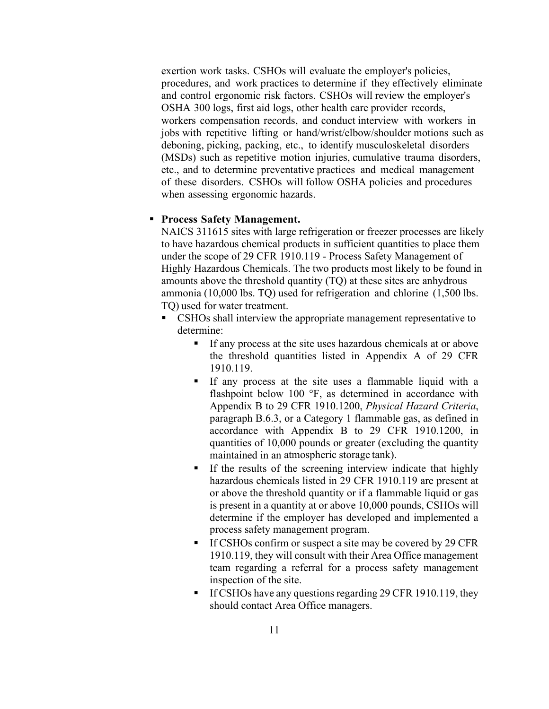exertion work tasks. CSHOs will evaluate the employer's policies, procedures, and work practices to determine if they effectively eliminate and control ergonomic risk factors. CSHOs will review the employer's OSHA 300 logs, first aid logs, other health care provider records, workers compensation records, and conduct interview with workers in jobs with repetitive lifting or hand/wrist/elbow/shoulder motions such as deboning, picking, packing, etc., to identify musculoskeletal disorders (MSDs) such as repetitive motion injuries, cumulative trauma disorders, etc., and to determine preventative practices and medical management of these disorders. CSHOs will follow OSHA policies and procedures when assessing ergonomic hazards.

#### **Process Safety Management.**

NAICS 311615 sites with large refrigeration or freezer processes are likely to have hazardous chemical products in sufficient quantities to place them under the scope of 29 CFR 1910.119 - Process Safety Management of Highly Hazardous Chemicals. The two products most likely to be found in amounts above the threshold quantity (TQ) at these sites are anhydrous ammonia (10,000 lbs. TQ) used for refrigeration and chlorine (1,500 lbs. TQ) used for water treatment.

- CSHOs shall interview the appropriate management representative to determine:
	- If any process at the site uses hazardous chemicals at or above the threshold quantities listed in Appendix A of 29 CFR 1910.119.
	- If any process at the site uses a flammable liquid with a flashpoint below 100 °F, as determined in accordance with Appendix B to 29 CFR 1910.1200, *Physical Hazard Criteria*, paragraph B.6.3, or a Category 1 flammable gas, as defined in accordance with Appendix B to 29 CFR 1910.1200, in quantities of 10,000 pounds or greater (excluding the quantity maintained in an atmospheric storage tank).
	- If the results of the screening interview indicate that highly hazardous chemicals listed in 29 CFR 1910.119 are present at or above the threshold quantity or if a flammable liquid or gas is present in a quantity at or above 10,000 pounds, CSHOs will determine if the employer has developed and implemented a process safety management program.
	- If CSHOs confirm or suspect a site may be covered by 29 CFR 1910.119, they will consult with their Area Office management team regarding a referral for a process safety management inspection of the site.
	- If CSHOs have any questions regarding 29 CFR 1910.119, they should contact Area Office managers.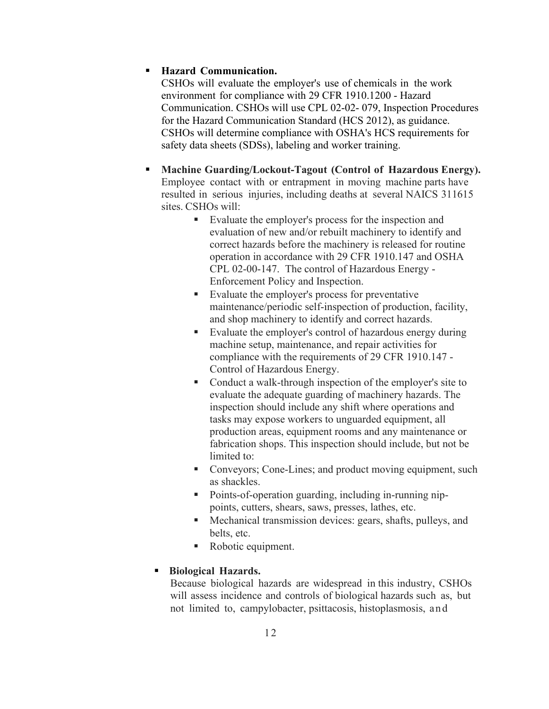### **Hazard Communication.**

CSHOs will evaluate the employer's use of chemicals in the work environment for compliance with 29 CFR 1910.1200 - Hazard Communication. CSHOs will use CPL 02-02- 079, Inspection Procedures for the Hazard Communication Standard (HCS 2012), as guidance. CSHOs will determine compliance with OSHA's HCS requirements for safety data sheets (SDSs), labeling and worker training.

- **Machine Guarding/Lockout-Tagout (Control of Hazardous Energy).** Employee contact with or entrapment in moving machine parts have resulted in serious injuries, including deaths at several NAICS 311615 sites. CSHOs will:
	- Evaluate the employer's process for the inspection and evaluation of new and/or rebuilt machinery to identify and correct hazards before the machinery is released for routine operation in accordance with 29 CFR 1910.147 and OSHA CPL 02-00-147. The control of Hazardous Energy - Enforcement Policy and Inspection.
	- Evaluate the employer's process for preventative maintenance/periodic self-inspection of production, facility, and shop machinery to identify and correct hazards.
	- Evaluate the employer's control of hazardous energy during machine setup, maintenance, and repair activities for compliance with the requirements of 29 CFR 1910.147 - Control of Hazardous Energy.
	- Conduct a walk-through inspection of the employer's site to evaluate the adequate guarding of machinery hazards. The inspection should include any shift where operations and tasks may expose workers to unguarded equipment, all production areas, equipment rooms and any maintenance or fabrication shops. This inspection should include, but not be limited to:
	- Conveyors; Cone-Lines; and product moving equipment, such as shackles.
	- Points-of-operation guarding, including in-running nippoints, cutters, shears, saws, presses, lathes, etc.
	- Mechanical transmission devices: gears, shafts, pulleys, and belts, etc.
	- Robotic equipment.

# **Biological Hazards.**

Because biological hazards are widespread in this industry, CSHOs will assess incidence and controls of biological hazards such as, but not limited to, campylobacter, psittacosis, histoplasmosis, and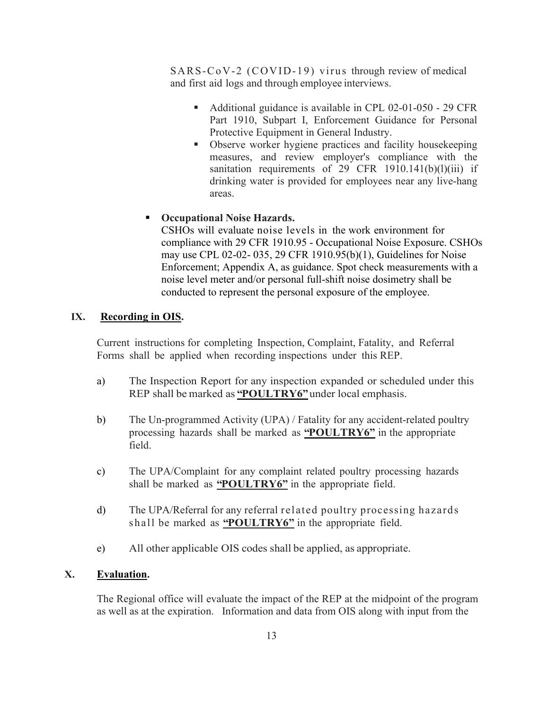<span id="page-16-0"></span>SARS-CoV-2 (COVID-19) virus through review of medical and first aid logs and through employee interviews.

- Additional guidance is available in CPL 02-01-050 29 CFR Part 1910, Subpart I, Enforcement Guidance for Personal Protective Equipment in General Industry.
- Observe worker hygiene practices and facility housekeeping measures, and review employer's compliance with the sanitation requirements of 29 CFR  $1910.141(b)(1)(iii)$  if drinking water is provided for employees near any live-hang areas.
- **Occupational Noise Hazards.**

CSHOs will evaluate noise levels in the work environment for compliance with 29 CFR 1910.95 - Occupational Noise Exposure. CSHOs may use CPL 02-02- 035, 29 CFR 1910.95(b)(1), Guidelines for Noise Enforcement; Appendix A, as guidance. Spot check measurements with a noise level meter and/or personal full-shift noise dosimetry shall be conducted to represent the personal exposure of the employee.

# **IX. Recording in OIS.**

Current instructions for completing Inspection, Complaint, Fatality, and Referral Forms shall be applied when recording inspections under this REP.

- a) The Inspection Report for any inspection expanded or scheduled under this REP shall be marked as **"POULTRY6"**under local emphasis.
- b) The Un-programmed Activity (UPA) / Fatality for any accident-related poultry processing hazards shall be marked as **"POULTRY6"** in the appropriate field.
- c) The UPA/Complaint for any complaint related poultry processing hazards shall be marked as **"POULTRY6"** in the appropriate field.
- d) The UPA/Referral for any referral related poultry processing hazards shall be marked as **"POULTRY6"** in the appropriate field.
- e) All other applicable OIS codes shall be applied, as appropriate.

# **X. Evaluation.**

The Regional office will evaluate the impact of the REP at the midpoint of the program as well as at the expiration. Information and data from OIS along with input from the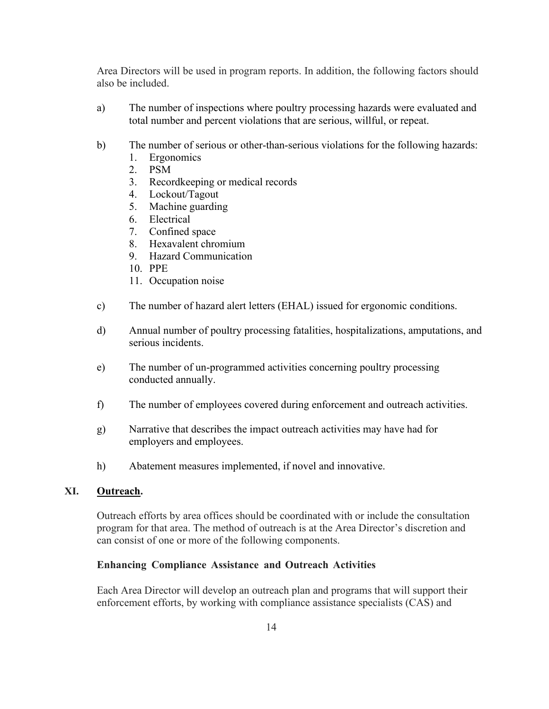<span id="page-17-0"></span>Area Directors will be used in program reports. In addition, the following factors should also be included.

- a) The number of inspections where poultry processing hazards were evaluated and total number and percent violations that are serious, willful, or repeat.
- b) The number of serious or other-than-serious violations for the following hazards:
	- 1. Ergonomics
	- 2. PSM
	- 3. Recordkeeping or medical records
	- 4. Lockout/Tagout
	- 5. Machine guarding
	- 6. Electrical
	- 7. Confined space
	- 8. Hexavalent chromium
	- 9. Hazard Communication
	- 10. PPE
	- 11. Occupation noise
- c) The number of hazard alert letters (EHAL) issued for ergonomic conditions.
- d) Annual number of poultry processing fatalities, hospitalizations, amputations, and serious incidents.
- e) The number of un-programmed activities concerning poultry processing conducted annually.
- f) The number of employees covered during enforcement and outreach activities.
- g) Narrative that describes the impact outreach activities may have had for employers and employees.
- h) Abatement measures implemented, if novel and innovative.

# **XI. Outreach.**

Outreach efforts by area offices should be coordinated with or include the consultation program for that area. The method of outreach is at the Area Director's discretion and can consist of one or more of the following components.

#### **Enhancing Compliance Assistance and Outreach Activities**

Each Area Director will develop an outreach plan and programs that will support their enforcement efforts, by working with compliance assistance specialists (CAS) and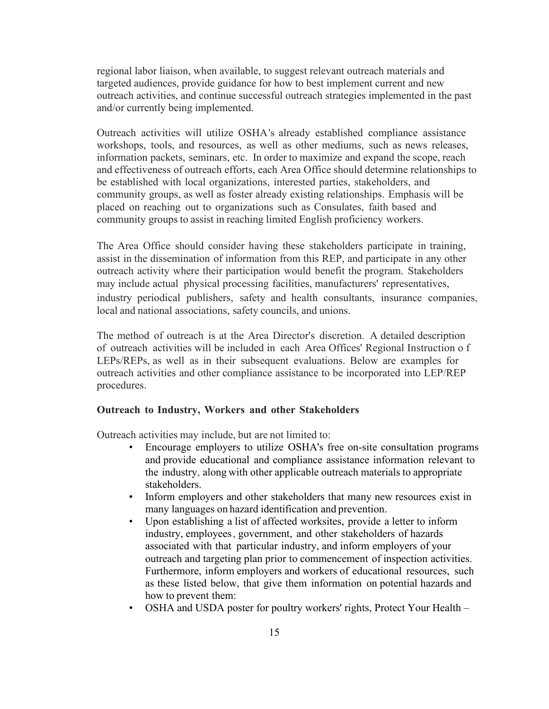regional labor liaison, when available, to suggest relevant outreach materials and targeted audiences, provide guidance for how to best implement current and new outreach activities, and continue successful outreach strategies implemented in the past and/or currently being implemented.

Outreach activities will utilize OSHA's already established compliance assistance workshops, tools, and resources, as well as other mediums, such as news releases, information packets, seminars, etc. In order to maximize and expand the scope, reach and effectiveness of outreach efforts, each Area Office should determine relationships to be established with local organizations, interested parties, stakeholders, and community groups, as well as foster already existing relationships. Emphasis will be placed on reaching out to organizations such as Consulates, faith based and community groups to assist in reaching limited English proficiency workers.

The Area Office should consider having these stakeholders participate in training, assist in the dissemination of information from this REP, and participate in any other outreach activity where their participation would benefit the program. Stakeholders may include actual physical processing facilities, manufacturers' representatives, industry periodical publishers, safety and health consultants, insurance companies, local and national associations, safety councils, and unions.

The method of outreach is at the Area Director's discretion. A detailed description of outreach activities will be included in each Area Offices' Regional Instruction o f LEPs/REPs, as well as in their subsequent evaluations. Below are examples for outreach activities and other compliance assistance to be incorporated into LEP/REP procedures.

#### **Outreach to Industry, Workers and other Stakeholders**

Outreach activities may include, but are not limited to:

- Encourage employers to utilize OSHA's free on-site consultation programs and provide educational and compliance assistance information relevant to the industry, along with other applicable outreach materials to appropriate stakeholders.
- Inform employers and other stakeholders that many new resources exist in many languages on hazard identification and prevention.
- Upon establishing a list of affected worksites, provide a letter to inform industry, employees, government, and other stakeholders of hazards associated with that particular industry, and inform employers of your outreach and targeting plan prior to commencement of inspection activities. Furthermore, inform employers and workers of educational resources, such as these listed below, that give them information on potential hazards and how to prevent them:
- OSHA and USDA poster for poultry workers' rights, Protect Your Health –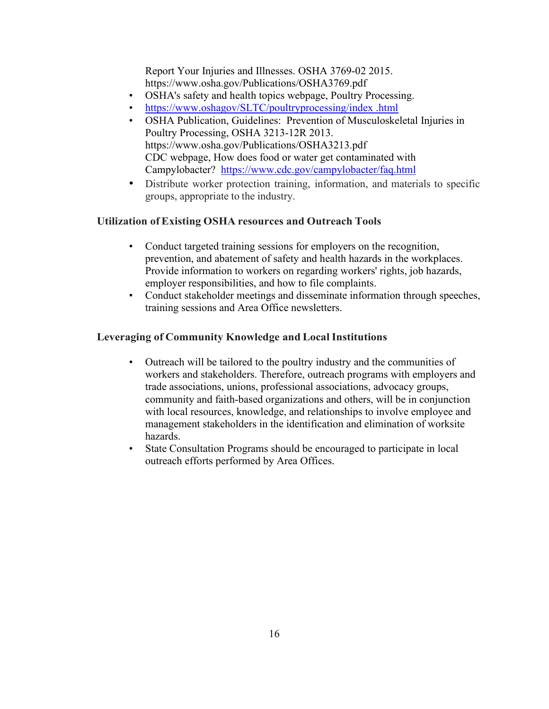Report Your Injuries and Illnesses. OSHA 3769-02 2015. <https://www.osha.gov/Publications/OSHA3769.pdf>

- OSHA's safety and health topics webpage, Poultry Processing.
- [https://www.oshagov/SLTC/poultryprocessing/index .html](https://www.oshagov/SLTC/poultryprocessing/index%20.html)
- OSHA Publication, Guidelines: Prevention of Musculoskeletal Injuries in Poultry Processing, OSHA 3213-12R 2013. <https://www.osha.gov/Publications/OSHA3213.pdf> CDC webpage, How does food or water get contaminated with Campylobacter? <https://www.cdc.gov/campylobacter/faq.html>
- Distribute worker protection training, information, and materials to specific groups, appropriate to the industry.

### **Utilization ofExisting OSHA resources and Outreach Tools**

- Conduct targeted training sessions for employers on the recognition, prevention, and abatement of safety and health hazards in the workplaces. Provide information to workers on regarding workers' rights, job hazards, employer responsibilities, and how to file complaints.
- Conduct stakeholder meetings and disseminate information through speeches, training sessions and Area Office newsletters.

### **Leveraging of Community Knowledge and Local Institutions**

- Outreach will be tailored to the poultry industry and the communities of workers and stakeholders. Therefore, outreach programs with employers and trade associations, unions, professional associations, advocacy groups, community and faith-based organizations and others, will be in conjunction with local resources, knowledge, and relationships to involve employee and management stakeholders in the identification and elimination of worksite hazards.
- State Consultation Programs should be encouraged to participate in local outreach efforts performed by Area Offices.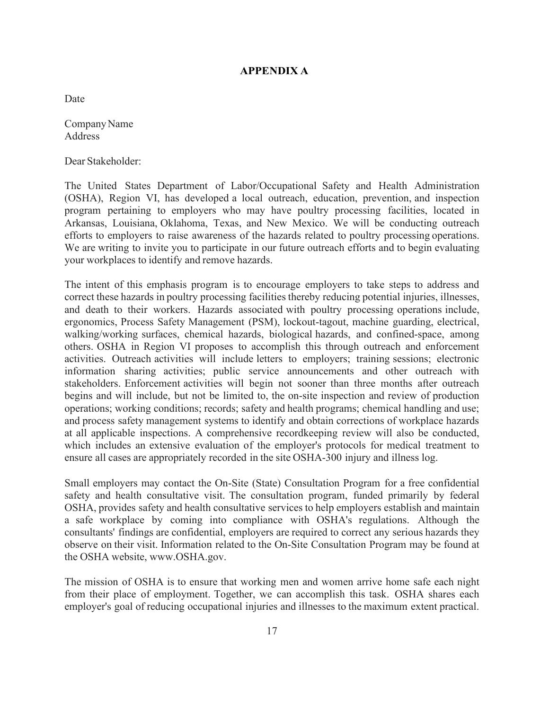#### **APPENDIX A**

<span id="page-20-0"></span>Date

Company Name Address

Dear Stakeholder:

The United States Department of Labor/Occupational Safety and Health Administration (OSHA), Region VI, has developed a local outreach, education, prevention, and inspection program pertaining to employers who may have poultry processing facilities, located in Arkansas, Louisiana, Oklahoma, Texas, and New Mexico. We will be conducting outreach efforts to employers to raise awareness of the hazards related to poultry processing operations. We are writing to invite you to participate in our future outreach efforts and to begin evaluating your workplaces to identify and remove hazards.

The intent of this emphasis program is to encourage employers to take steps to address and correct these hazards in poultry processing facilities thereby reducing potential injuries, illnesses, and death to their workers. Hazards associated with poultry processing operations include, ergonomics, Process Safety Management (PSM), lockout-tagout, machine guarding, electrical, walking/working surfaces, chemical hazards, biological hazards, and confined-space, among others. OSHA in Region VI proposes to accomplish this through outreach and enforcement activities. Outreach activities will include letters to employers; training sessions; electronic information sharing activities; public service announcements and other outreach with stakeholders. Enforcement activities will begin not sooner than three months after outreach begins and will include, but not be limited to, the on-site inspection and review of production operations; working conditions; records; safety and health programs; chemical handling and use; and process safety management systems to identify and obtain corrections of workplace hazards at all applicable inspections. A comprehensive recordkeeping review will also be conducted, which includes an extensive evaluation of the employer's protocols for medical treatment to ensure all cases are appropriately recorded in the site OSHA-300 injury and illness log.

Small employers may contact the On-Site (State) Consultation Program for a free confidential safety and health consultative visit. The consultation program, funded primarily by federal OSHA, provides safety and health consultative services to help employers establish and maintain a safe workplace by coming into compliance with OSHA's regulations. Although the consultants' findings are confidential, employers are required to correct any serious hazards they observe on their visit. Information related to the On-Site Consultation Program may be found at the OSHA website, [www.OSHA.gov.](http://www.osha.gov/)

The mission of OSHA is to ensure that working men and women arrive home safe each night from their place of employment. Together, we can accomplish this task. OSHA shares each employer's goal of reducing occupational injuries and illnesses to the maximum extent practical.